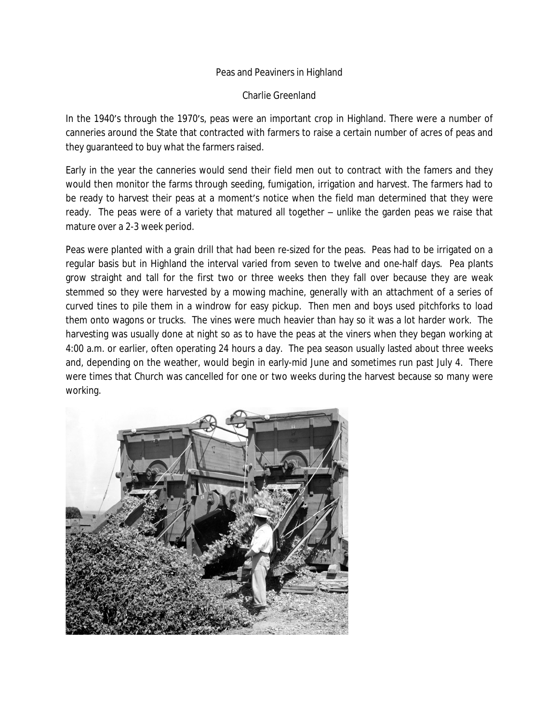## Peas and Peaviners in Highland

Charlie Greenland

In the 1940's through the 1970's, peas were an important crop in Highland. There were a number of canneries around the State that contracted with farmers to raise a certain number of acres of peas and they guaranteed to buy what the farmers raised.

Early in the year the canneries would send their field men out to contract with the famers and they would then monitor the farms through seeding, fumigation, irrigation and harvest. The farmers had to be ready to harvest their peas at a moment's notice when the field man determined that they were ready. The peas were of a variety that matured all together – unlike the garden peas we raise that mature over a 2-3 week period.

Peas were planted with a grain drill that had been re-sized for the peas. Peas had to be irrigated on a regular basis but in Highland the interval varied from seven to twelve and one-half days. Pea plants grow straight and tall for the first two or three weeks then they fall over because they are weak stemmed so they were harvested by a mowing machine, generally with an attachment of a series of curved tines to pile them in a windrow for easy pickup. Then men and boys used pitchforks to load them onto wagons or trucks. The vines were much heavier than hay so it was a lot harder work. The harvesting was usually done at night so as to have the peas at the viners when they began working at 4:00 a.m. or earlier, often operating 24 hours a day. The pea season usually lasted about three weeks and, depending on the weather, would begin in early-mid June and sometimes run past July 4. There were times that Church was cancelled for one or two weeks during the harvest because so many were working.

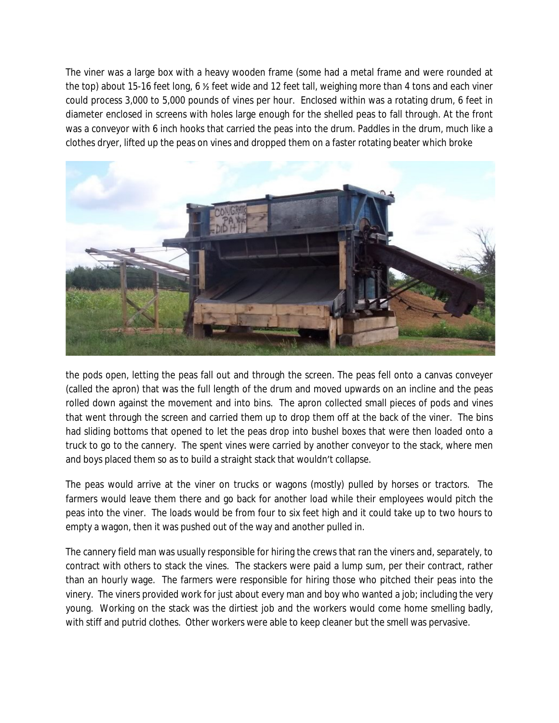The viner was a large box with a heavy wooden frame (some had a metal frame and were rounded at the top) about 15-16 feet long, 6 ½ feet wide and 12 feet tall, weighing more than 4 tons and each viner could process 3,000 to 5,000 pounds of vines per hour. Enclosed within was a rotating drum, 6 feet in diameter enclosed in screens with holes large enough for the shelled peas to fall through. At the front was a conveyor with 6 inch hooks that carried the peas into the drum. Paddles in the drum, much like a clothes dryer, lifted up the peas on vines and dropped them on a faster rotating beater which broke



the pods open, letting the peas fall out and through the screen. The peas fell onto a canvas conveyer (called the apron) that was the full length of the drum and moved upwards on an incline and the peas rolled down against the movement and into bins. The apron collected small pieces of pods and vines that went through the screen and carried them up to drop them off at the back of the viner. The bins had sliding bottoms that opened to let the peas drop into bushel boxes that were then loaded onto a truck to go to the cannery. The spent vines were carried by another conveyor to the stack, where men and boys placed them so as to build a straight stack that wouldn't collapse.

The peas would arrive at the viner on trucks or wagons (mostly) pulled by horses or tractors. The farmers would leave them there and go back for another load while their employees would pitch the peas into the viner. The loads would be from four to six feet high and it could take up to two hours to empty a wagon, then it was pushed out of the way and another pulled in.

The cannery field man was usually responsible for hiring the crews that ran the viners and, separately, to contract with others to stack the vines. The stackers were paid a lump sum, per their contract, rather than an hourly wage. The farmers were responsible for hiring those who pitched their peas into the vinery. The viners provided work for just about every man and boy who wanted a job; including the very young. Working on the stack was the dirtiest job and the workers would come home smelling badly, with stiff and putrid clothes. Other workers were able to keep cleaner but the smell was pervasive.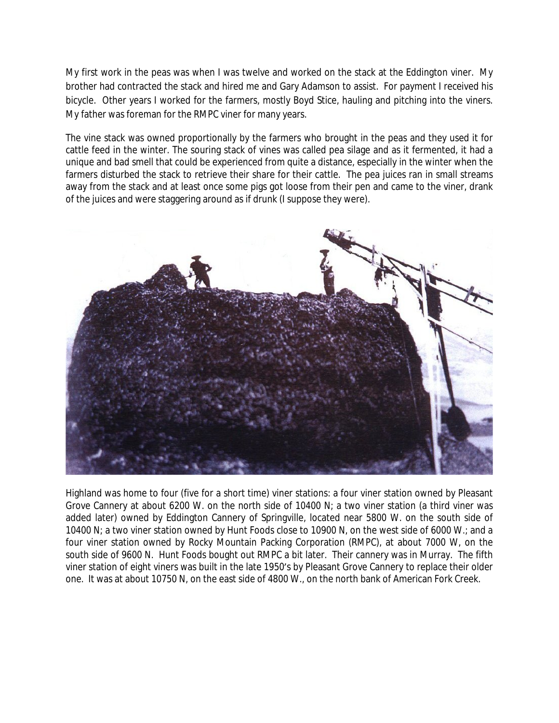My first work in the peas was when I was twelve and worked on the stack at the Eddington viner. My brother had contracted the stack and hired me and Gary Adamson to assist. For payment I received his bicycle. Other years I worked for the farmers, mostly Boyd Stice, hauling and pitching into the viners. My father was foreman for the RMPC viner for many years.

The vine stack was owned proportionally by the farmers who brought in the peas and they used it for cattle feed in the winter. The souring stack of vines was called pea silage and as it fermented, it had a unique and bad smell that could be experienced from quite a distance, especially in the winter when the farmers disturbed the stack to retrieve their share for their cattle. The pea juices ran in small streams away from the stack and at least once some pigs got loose from their pen and came to the viner, drank of the juices and were staggering around as if drunk (I suppose they were).



Highland was home to four (five for a short time) viner stations: a four viner station owned by Pleasant Grove Cannery at about 6200 W. on the north side of 10400 N; a two viner station (a third viner was added later) owned by Eddington Cannery of Springville, located near 5800 W. on the south side of 10400 N; a two viner station owned by Hunt Foods close to 10900 N, on the west side of 6000 W.; and a four viner station owned by Rocky Mountain Packing Corporation (RMPC), at about 7000 W, on the south side of 9600 N. Hunt Foods bought out RMPC a bit later. Their cannery was in Murray. The fifth viner station of eight viners was built in the late 1950's by Pleasant Grove Cannery to replace their older one. It was at about 10750 N, on the east side of 4800 W., on the north bank of American Fork Creek.